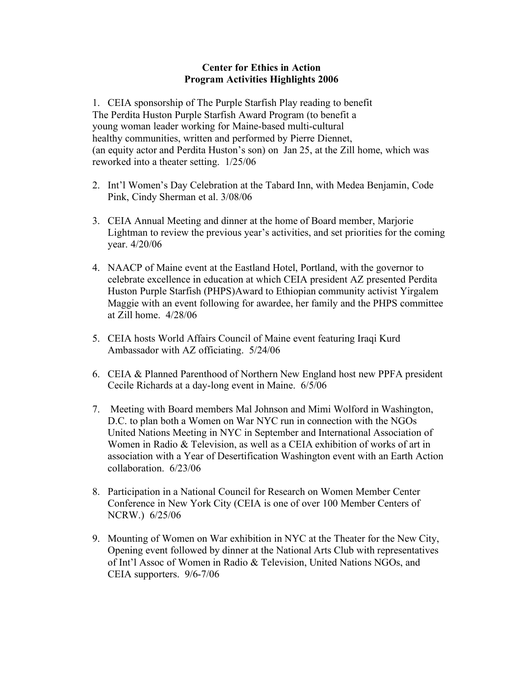## **Center for Ethics in Action Program Activities Highlights 2006**

1. CEIA sponsorship of The Purple Starfish Play reading to benefit The Perdita Huston Purple Starfish Award Program (to benefit a young woman leader working for Maine-based multi-cultural healthy communities, written and performed by Pierre Diennet, (an equity actor and Perdita Huston's son) on Jan 25, at the Zill home, which was reworked into a theater setting. 1/25/06

- 2. Int'l Women's Day Celebration at the Tabard Inn, with Medea Benjamin, Code Pink, Cindy Sherman et al. 3/08/06
- 3. CEIA Annual Meeting and dinner at the home of Board member, Marjorie Lightman to review the previous year's activities, and set priorities for the coming year. 4/20/06
- 4. NAACP of Maine event at the Eastland Hotel, Portland, with the governor to celebrate excellence in education at which CEIA president AZ presented Perdita Huston Purple Starfish (PHPS)Award to Ethiopian community activist Yirgalem Maggie with an event following for awardee, her family and the PHPS committee at Zill home. 4/28/06
- 5. CEIA hosts World Affairs Council of Maine event featuring Iraqi Kurd Ambassador with AZ officiating. 5/24/06
- 6. CEIA & Planned Parenthood of Northern New England host new PPFA president Cecile Richards at a day-long event in Maine. 6/5/06
- 7. Meeting with Board members Mal Johnson and Mimi Wolford in Washington, D.C. to plan both a Women on War NYC run in connection with the NGOs United Nations Meeting in NYC in September and International Association of Women in Radio & Television, as well as a CEIA exhibition of works of art in association with a Year of Desertification Washington event with an Earth Action collaboration. 6/23/06
- 8. Participation in a National Council for Research on Women Member Center Conference in New York City (CEIA is one of over 100 Member Centers of NCRW.) 6/25/06
- 9. Mounting of Women on War exhibition in NYC at the Theater for the New City, Opening event followed by dinner at the National Arts Club with representatives of Int'l Assoc of Women in Radio & Television, United Nations NGOs, and CEIA supporters. 9/6-7/06